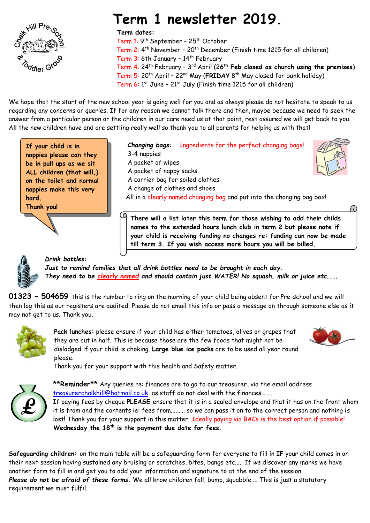

# **Term 1 newsletter 2019.**

#### **Term dates:**

 Term 1: 9 th September – 25th October Term 2: 4 th November – 20th December (Finish time 1215 for all children) Term 3: 6th January – 14 th February Term 4: 24 th February – 3 rd April (2**6 th Feb closed as church using the premises**) Term 5: 20 th April – 22nd May (**FRIDAY** 8 th May closed for bank holiday) Term 6: 1 st June – 21 st July (Finish time 1215 for all children)

We hope that the start of the new school year is going well for you and as always please do not hesitate to speak to us regarding any concerns or queries. If for any reason we cannot talk there and then, maybe because we need to seek the answer from a particular person or the children in our care need us at that point, rest assured we will get back to you. All the new children have and are settling really well so thank you to all parents for helping us with that!

**nappies please can they** | 3-4 nappies **If your child is in be in pull ups as we sit ALL children (that will,) on the toilet and normal nappies make this very hard. Thank you!**

 *Changing bags:* Ingredients for the perfect changing bags! A packet of wipes A packet of nappy sacks. A carrier bag for soiled clothes. A change of clothes and shoes. All in a clearly named changing bag and put into the changing bag box!

**There will a list later this term for those wishing to add their childs names to the extended hours lunch club in term 2 but please note if your child is receiving funding no changes re: funding can now be made till term 3. If you wish access more hours you will be billed.** 



*Drink bottles:*

*Just to remind families that all drink bottles need to be brought in each day. They need to be clearly named and should contain just WATER! No squash, milk or juice etc…….*

**01323 – 504659** this is the number to ring on the morning of your child being absent for Pre-school and we will then log this as our registers are audited. Please do not email this info or pass a message on through someone else as it may not get to us. Thank you.



**Pack lunches:** please ensure if your child has either tomatoes, olives or grapes that they are cut in half. This is because those are the few foods that might not be dislodged if your child is choking. **Large blue ice packs** are to be used all year round please.



Thank you for your support with this health and Safety matter.



**\*\*Reminder\*\*** Any queries re: finances are to go to our treasurer, via the email address [treasurerchalkhill@hotmail.co.uk](mailto:treasurerchalkhill@hotmail.co.uk) as staff do not deal with the finances.........

If paying fees by cheque **PLEASE** ensure that it is in a sealed envelope and that it has on the front whom it is from and the contents ie: fees from......... so we can pass it on to the correct person and nothing is lost! Thank you for your support in this matter. Ideally paying via BACs is the best option if possible! **Wednesday the 18th is the payment due date for fees.**

**Safeguarding children:** on the main table will be a safeguarding form for everyone to fill in **IF** your child comes in on their next session having sustained any bruising or scratches, bites, bangs etc..... If *we* discover any marks we have another form to fill in and get you to add your information and signature to at the end of the session. *Please do not be afraid of these forms.* We all know children fall, bump, squabble.... This is just a statutory requirement we must fulfil.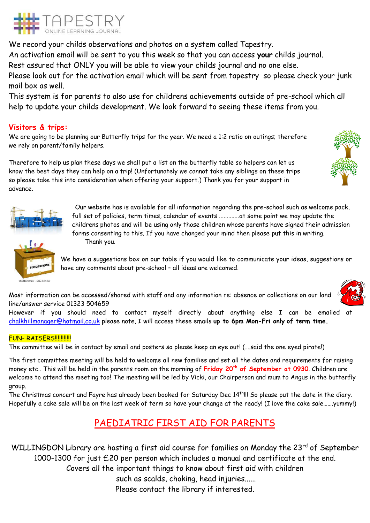

We record your childs observations and photos on a system called Tapestry. An activation email will be sent to you this week so that you can access **your** childs journal.

Rest assured that ONLY you will be able to view your childs journal and no one else.

Please look out for the activation email which will be sent from tapestry so please check your junk mail box as well.

This system is for parents to also use for childrens achievements outside of pre-school which all help to update your childs development. We look forward to seeing these items from you.

# **Visitors & trips:**

We are going to be planning our Butterfly trips for the year. We need a 1:2 ratio on outings; therefore we rely on parent/family helpers.

Therefore to help us plan these days we shall put a list on the butterfly table so helpers can let us know the best days they can help on a trip! (Unfortunately we cannot take any siblings on these trips so please take this into consideration when offering your support.) Thank you for your support in advance.



Our website has is available for all information regarding the pre-school such as welcome pack, full set of policies, term times, calendar of events .............at some point we may update the childrens photos and will be using only those children whose parents have signed their admission forms consenting to this. If you have changed your mind then please put this in writing. Thank you.

We have a suggestions box on our table if you would like to communicate your ideas, suggestions or have any comments about pre-school – all ideas are welcomed.

shutterstock 25732162



Most information can be accessed/shared with staff and any information re: absence or collections on our land line/answer service 01323 504659

However if you should need to contact myself directly about anything else I can be emailed at [chalkhillmanager@hotmail.co.uk](mailto:chalkhillmanager@hotmail.co.uk) please note, I will access these emails **up to 6pm Mon-Fri only of term time.**

#### **FUN- RAISFRS!!!!!!!!!!!!**

The committee will be in contact by email and posters so please keep an eye out! (….said the one eyed pirate!)

The first committee meeting will be held to welcome all new families and set all the dates and requirements for raising money etc.. This will be held in the parents room on the morning of **Friday 20 th of September at 0930**. Children are welcome to attend the meeting too! The meeting will be led by Vicki, our Chairperson and mum to Angus in the butterfly group.

The Christmas concert and Fayre has already been booked for Saturday Dec 14<sup>th</sup>!!! So please put the date in the diary. Hopefully a cake sale will be on the last week of term so have your change at the ready! (I love the cake sale…….yummy!)

# PAEDIATRIC FIRST AID FOR PARENTS

WILLINGDON Library are hosting a first aid course for families on Monday the 23<sup>rd</sup> of September 1000-1300 for just £20 per person which includes a manual and certificate at the end. Covers all the important things to know about first aid with children such as scalds, choking, head injuries...... Please contact the library if interested.